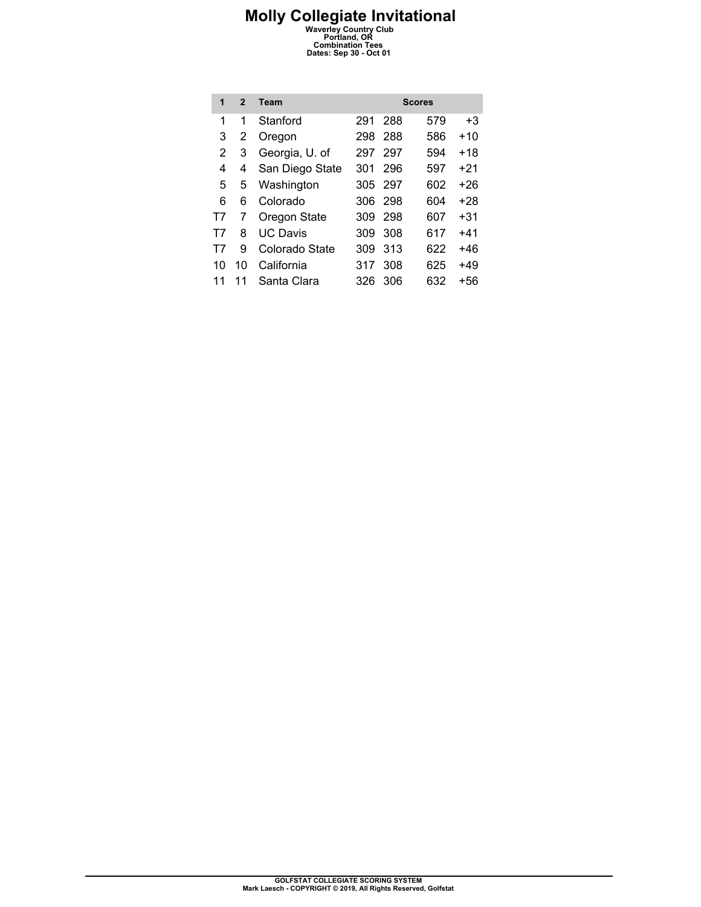| 1  | $\mathfrak{p}$ | Team            |     |         | <b>Scores</b> |       |
|----|----------------|-----------------|-----|---------|---------------|-------|
| 1  | 1              | Stanford        | 291 | 288     | 579           | +3    |
| 3  | 2              | Oregon          | 298 | 288     | 586           | $+10$ |
| 2  | 3              | Georgia, U. of  | 297 | 297     | 594           | +18   |
| 4  | 4              | San Diego State | 301 | 296     | 597           | +21   |
| 5  | 5              | Washington      |     | 305 297 | 602           | +26   |
| 6  | 6              | Colorado        | 306 | 298     | 604           | +28   |
| T7 | 7              | Oregon State    | 309 | 298     | 607           | +31   |
| Т7 | 8              | <b>UC Davis</b> | 309 | 308     | 617           | +41   |
| T7 | 9              | Colorado State  | 309 | 313     | 622           | +46   |
| 10 | 10             | California      | 317 | 308     | 625           | $+49$ |
| 11 | 11             | Santa Clara     | 326 | 306     | 632           | +56   |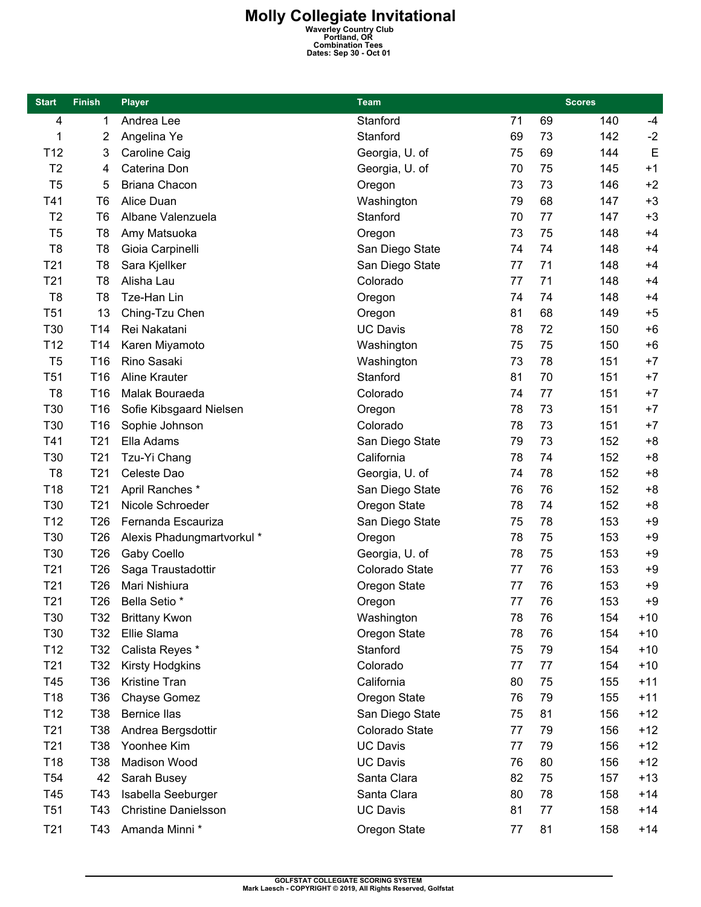| <b>Start</b>    | <b>Finish</b>   | <b>Player</b>               | <b>Team</b>     |    |    | <b>Scores</b> |       |
|-----------------|-----------------|-----------------------------|-----------------|----|----|---------------|-------|
| 4               | 1               | Andrea Lee                  | Stanford        | 71 | 69 | 140           | -4    |
| 1               | 2               | Angelina Ye                 | Stanford        | 69 | 73 | 142           | $-2$  |
| T <sub>12</sub> | 3               | Caroline Caig               | Georgia, U. of  | 75 | 69 | 144           | E     |
| T <sub>2</sub>  | 4               | Caterina Don                | Georgia, U. of  | 70 | 75 | 145           | $+1$  |
| T <sub>5</sub>  | 5               | <b>Briana Chacon</b>        | Oregon          | 73 | 73 | 146           | $+2$  |
| T41             | T <sub>6</sub>  | Alice Duan                  | Washington      | 79 | 68 | 147           | $+3$  |
| T <sub>2</sub>  | T <sub>6</sub>  | Albane Valenzuela           | Stanford        | 70 | 77 | 147           | $+3$  |
| T <sub>5</sub>  | T <sub>8</sub>  | Amy Matsuoka                | Oregon          | 73 | 75 | 148           | $+4$  |
| T <sub>8</sub>  | T <sub>8</sub>  | Gioia Carpinelli            | San Diego State | 74 | 74 | 148           | $+4$  |
| T <sub>21</sub> | T <sub>8</sub>  | Sara Kjellker               | San Diego State | 77 | 71 | 148           | $+4$  |
| T <sub>21</sub> | T <sub>8</sub>  | Alisha Lau                  | Colorado        | 77 | 71 | 148           | $+4$  |
| T <sub>8</sub>  | T <sub>8</sub>  | Tze-Han Lin                 | Oregon          | 74 | 74 | 148           | $+4$  |
| T <sub>51</sub> | 13              | Ching-Tzu Chen              | Oregon          | 81 | 68 | 149           | $+5$  |
| T30             | T14             | Rei Nakatani                | <b>UC Davis</b> | 78 | 72 | 150           | $+6$  |
| T <sub>12</sub> | T <sub>14</sub> | Karen Miyamoto              | Washington      | 75 | 75 | 150           | $+6$  |
| T <sub>5</sub>  | T16             | Rino Sasaki                 | Washington      | 73 | 78 | 151           | $+7$  |
| T <sub>51</sub> | T16             | <b>Aline Krauter</b>        | Stanford        | 81 | 70 | 151           | $+7$  |
| T <sub>8</sub>  | T16             | Malak Bouraeda              | Colorado        | 74 | 77 | 151           | $+7$  |
| T30             | T16             | Sofie Kibsgaard Nielsen     | Oregon          | 78 | 73 | 151           | $+7$  |
| T30             | T16             | Sophie Johnson              | Colorado        | 78 | 73 | 151           | $+7$  |
| T41             | T <sub>21</sub> | Ella Adams                  | San Diego State | 79 | 73 | 152           | $+8$  |
| T30             | T21             | Tzu-Yi Chang                | California      | 78 | 74 | 152           | $+8$  |
| T <sub>8</sub>  | T <sub>21</sub> | Celeste Dao                 | Georgia, U. of  | 74 | 78 | 152           | $+8$  |
| T18             | T <sub>21</sub> | April Ranches *             | San Diego State | 76 | 76 | 152           | $+8$  |
| T30             | T21             | Nicole Schroeder            | Oregon State    | 78 | 74 | 152           | $+8$  |
| T <sub>12</sub> | T26             | Fernanda Escauriza          | San Diego State | 75 | 78 | 153           | $+9$  |
| T30             | T <sub>26</sub> | Alexis Phadungmartvorkul *  | Oregon          | 78 | 75 | 153           | $+9$  |
| T30             | T <sub>26</sub> | Gaby Coello                 | Georgia, U. of  | 78 | 75 | 153           | $+9$  |
| T <sub>21</sub> | T <sub>26</sub> | Saga Traustadottir          | Colorado State  | 77 | 76 | 153           | $+9$  |
| T <sub>21</sub> | T26             | Mari Nishiura               | Oregon State    | 77 | 76 | 153           | $+9$  |
| T <sub>21</sub> | T <sub>26</sub> | <b>Bella Setio</b> *        | Oregon          | 77 | 76 | 153           | $+9$  |
| T30             | T32             | <b>Brittany Kwon</b>        | Washington      | 78 | 76 | 154           | $+10$ |
| T30             | T32             | Ellie Slama                 | Oregon State    | 78 | 76 | 154           | $+10$ |
| T <sub>12</sub> | T32             | Calista Reyes *             | Stanford        | 75 | 79 | 154           | $+10$ |
| T <sub>21</sub> | T32             | <b>Kirsty Hodgkins</b>      | Colorado        | 77 | 77 | 154           | $+10$ |
| T45             | T36             | <b>Kristine Tran</b>        | California      | 80 | 75 | 155           | $+11$ |
| T <sub>18</sub> | T36             | Chayse Gomez                | Oregon State    | 76 | 79 | 155           | $+11$ |
| T <sub>12</sub> | T38             | <b>Bernice llas</b>         | San Diego State | 75 | 81 | 156           | $+12$ |
| T <sub>21</sub> | T38             | Andrea Bergsdottir          | Colorado State  | 77 | 79 | 156           | $+12$ |
| T <sub>21</sub> | T38             | Yoonhee Kim                 | <b>UC Davis</b> | 77 | 79 | 156           | $+12$ |
| T18             | T38             | Madison Wood                | <b>UC Davis</b> | 76 | 80 | 156           | $+12$ |
| T <sub>54</sub> | 42              | Sarah Busey                 | Santa Clara     | 82 | 75 | 157           | $+13$ |
| T45             | T43             | Isabella Seeburger          | Santa Clara     | 80 | 78 | 158           | $+14$ |
| T <sub>51</sub> | T43             | <b>Christine Danielsson</b> | <b>UC Davis</b> | 81 | 77 | 158           | $+14$ |
| T <sub>21</sub> | T43             | Amanda Minni *              | Oregon State    | 77 | 81 | 158           | $+14$ |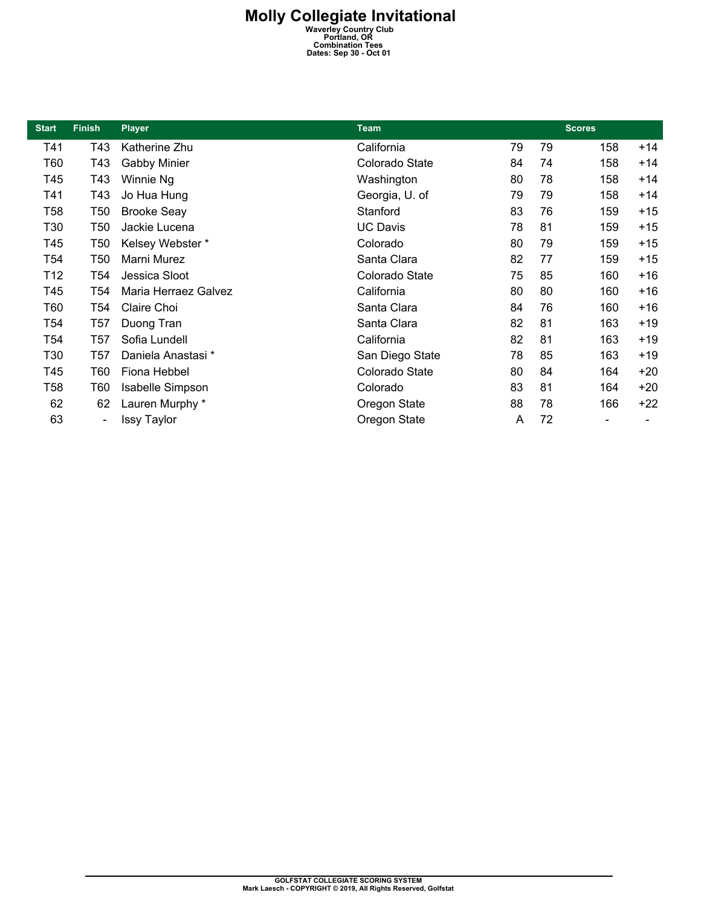| <b>Start</b>    | <b>Finish</b>                | <b>Player</b>           | <b>Team</b>     | <b>Scores</b> |    |     |       |  |  |
|-----------------|------------------------------|-------------------------|-----------------|---------------|----|-----|-------|--|--|
| T41             | T43                          | Katherine Zhu           | California      | 79            | 79 | 158 | $+14$ |  |  |
| T60             | T43                          | <b>Gabby Minier</b>     | Colorado State  | 84            | 74 | 158 | $+14$ |  |  |
| T45             | T43                          | Winnie Ng               | Washington      | 80            | 78 | 158 | $+14$ |  |  |
| T41             | T43                          | Jo Hua Hung             | Georgia, U. of  | 79            | 79 | 158 | $+14$ |  |  |
| <b>T58</b>      | T50                          | <b>Brooke Seay</b>      | Stanford        | 83            | 76 | 159 | $+15$ |  |  |
| T30             | T <sub>50</sub>              | Jackie Lucena           | <b>UC Davis</b> | 78            | 81 | 159 | $+15$ |  |  |
| T45             | T <sub>50</sub>              | Kelsey Webster*         | Colorado        | 80            | 79 | 159 | $+15$ |  |  |
| T <sub>54</sub> | T <sub>50</sub>              | Marni Murez             | Santa Clara     | 82            | 77 | 159 | $+15$ |  |  |
| T <sub>12</sub> | T54                          | Jessica Sloot           | Colorado State  | 75            | 85 | 160 | $+16$ |  |  |
| T45             | T <sub>54</sub>              | Maria Herraez Galvez    | California      | 80            | 80 | 160 | $+16$ |  |  |
| T60             | T54                          | Claire Choi             | Santa Clara     | 84            | 76 | 160 | $+16$ |  |  |
| T <sub>54</sub> | T <sub>57</sub>              | Duong Tran              | Santa Clara     | 82            | 81 | 163 | $+19$ |  |  |
| T <sub>54</sub> | T <sub>57</sub>              | Sofia Lundell           | California      | 82            | 81 | 163 | $+19$ |  |  |
| T30             | T <sub>57</sub>              | Daniela Anastasi*       | San Diego State | 78            | 85 | 163 | $+19$ |  |  |
| T45             | T60                          | Fiona Hebbel            | Colorado State  | 80            | 84 | 164 | $+20$ |  |  |
| <b>T58</b>      | T60                          | <b>Isabelle Simpson</b> | Colorado        | 83            | 81 | 164 | +20   |  |  |
| 62              | 62                           | Lauren Murphy *         | Oregon State    | 88            | 78 | 166 | $+22$ |  |  |
| 63              | $\qquad \qquad \blacksquare$ | Issy Taylor             | Oregon State    | A             | 72 |     |       |  |  |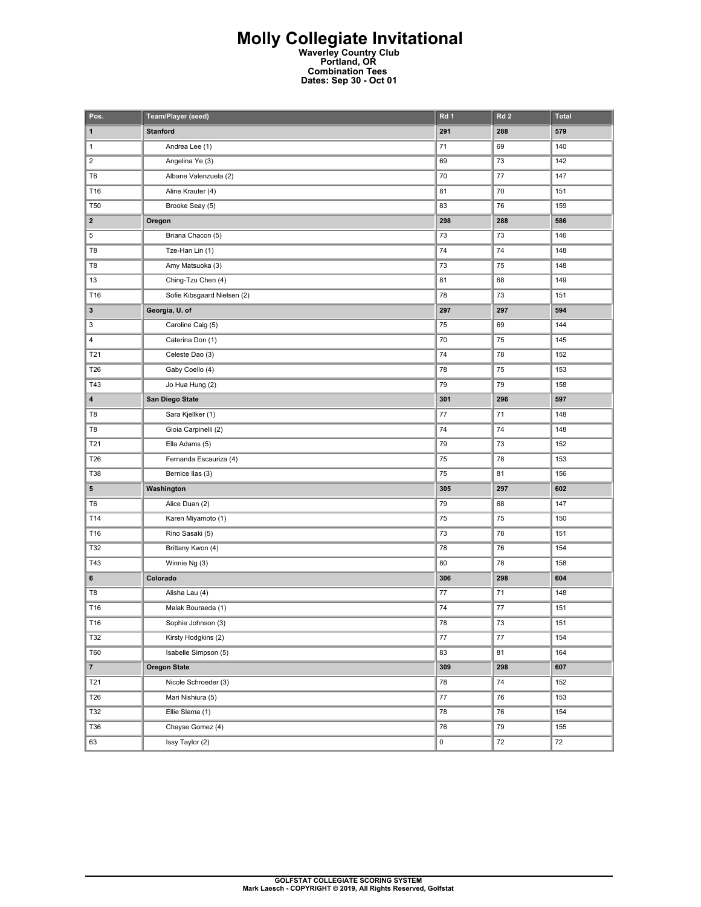| Pos.                    | Team/Player (seed)          | Rd 1      | Rd <sub>2</sub> | <b>Total</b> |
|-------------------------|-----------------------------|-----------|-----------------|--------------|
| $\mathbf{1}$            | <b>Stanford</b>             | 291       | 288             | 579          |
| $\mathbf{1}$            | Andrea Lee (1)              | 71        | 69              | 140          |
| $\mathbf 2$             | Angelina Ye (3)             | 69        | 73              | 142          |
| T <sub>6</sub>          | Albane Valenzuela (2)       | 70        | 77              | 147          |
| T16                     | Aline Krauter (4)           | 81        | 70              | 151          |
| T <sub>50</sub>         | Brooke Seay (5)             | 83        | 76              | 159          |
| $\mathbf{2}$            | Oregon                      | 298       | 288             | 586          |
| 5                       | Briana Chacon (5)           | 73        | 73              | 146          |
| T8                      | Tze-Han Lin (1)             | 74        | 74              | 148          |
| T8                      | Amy Matsuoka (3)            | 73        | 75              | 148          |
| 13                      | Ching-Tzu Chen (4)          | 81        | 68              | 149          |
| T16                     | Sofie Kibsgaard Nielsen (2) | 78        | 73              | 151          |
| $\mathbf{3}$            | Georgia, U. of              | 297       | 297             | 594          |
| 3                       | Caroline Caig (5)           | 75        | 69              | 144          |
| 4                       | Caterina Don (1)            | 70        | 75              | 145          |
| T21                     | Celeste Dao (3)             | 74        | 78              | 152          |
| T26                     | Gaby Coello (4)             | 78        | 75              | 153          |
| T43                     | Jo Hua Hung (2)             | 79        | 79              | 158          |
| $\overline{\mathbf{4}}$ | San Diego State             | 301       | 296             | 597          |
| T8                      | Sara Kjellker (1)           | 77        | 71              | 148          |
| T8                      | Gioia Carpinelli (2)        | 74        | 74              | 148          |
| T21                     | Ella Adams (5)              | 79        | 73              | 152          |
| T26                     | Fernanda Escauriza (4)      | 75        | 78              | 153          |
| T38                     | Bernice Ilas (3)            | 75        | 81              | 156          |
| 5                       | Washington                  | 305       | 297             | 602          |
| T <sub>6</sub>          | Alice Duan (2)              | 79        | 68              | 147          |
| T14                     | Karen Miyamoto (1)          | 75        | 75              | 150          |
| T16                     | Rino Sasaki (5)             | 73        | 78              | 151          |
| T32                     | Brittany Kwon (4)           | 78        | 76              | 154          |
| T43                     | Winnie Ng (3)               | 80        | 78              | 158          |
| 6                       | Colorado                    | 306       | 298             | 604          |
| T8                      | Alisha Lau (4)              | 77        | 71              | 148          |
| T16                     | Malak Bouraeda (1)          | 74        | 77              | 151          |
| T16                     | Sophie Johnson (3)          | 78        | 73              | 151          |
| T32                     | Kirsty Hodgkins (2)         | 77        | 77              | 154          |
| <b>T60</b>              | Isabelle Simpson (5)        | 83        | 81              | 164          |
| $\overline{7}$          | <b>Oregon State</b>         | 309       | 298             | 607          |
| T21                     | Nicole Schroeder (3)        | 78        | $74\,$          | 152          |
| T26                     | Mari Nishiura (5)           | $77\,$    | 76              | 153          |
| T32                     | Ellie Slama (1)             | 78        | 76              | 154          |
| <b>T36</b>              | Chayse Gomez (4)            | 76        | 79              | 155          |
| 63                      | Issy Taylor (2)             | $\pmb{0}$ | 72              | 72           |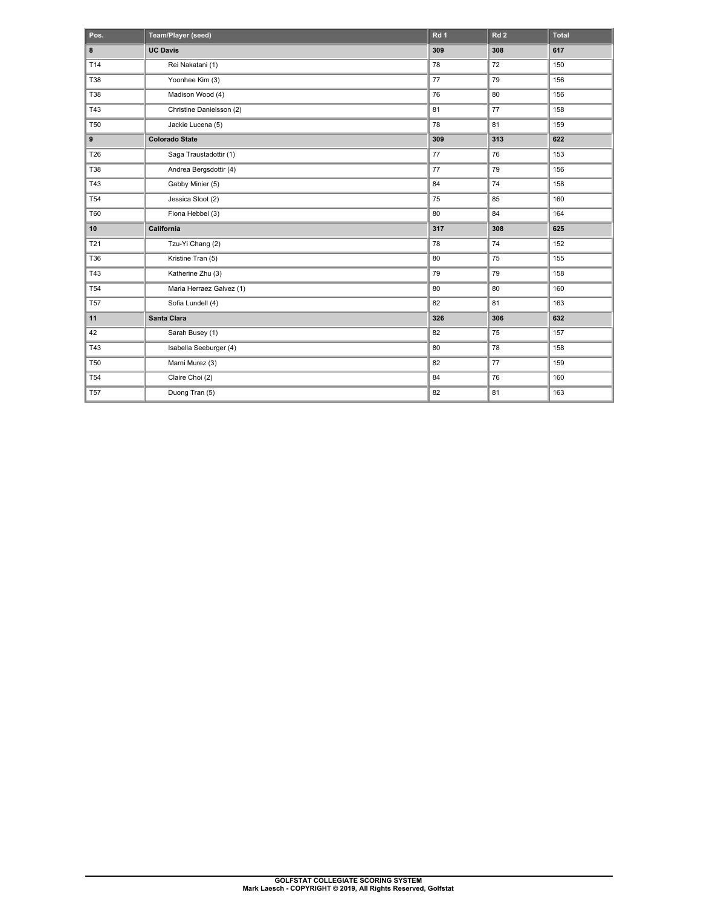| Pos.           | Team/Player (seed)       | Rd 1 | Rd <sub>2</sub> | <b>Total</b> |
|----------------|--------------------------|------|-----------------|--------------|
| 8              | <b>UC Davis</b>          | 309  | 308             | 617          |
| T14            | Rei Nakatani (1)         | 78   | 72              | 150          |
| T38            | Yoonhee Kim (3)          | 77   | 79              | 156          |
| T38            | Madison Wood (4)         | 76   | 80              | 156          |
| T43            | Christine Danielsson (2) | 81   | 77              | 158          |
| <b>T50</b>     | Jackie Lucena (5)        | 78   | 81              | 159          |
| $\overline{9}$ | <b>Colorado State</b>    | 309  | 313             | 622          |
| T26            | Saga Traustadottir (1)   | 77   | 76              | 153          |
| <b>T38</b>     | Andrea Bergsdottir (4)   | 77   | 79              | 156          |
| T43            | Gabby Minier (5)         | 84   | 74              | 158          |
| <b>T54</b>     | Jessica Sloot (2)        | 75   | 85              | 160          |
| <b>T60</b>     | Fiona Hebbel (3)         | 80   | 84              | 164          |
| 10             | California               | 317  | 308             | 625          |
| T21            | Tzu-Yi Chang (2)         | 78   | 74              | 152          |
| T36            | Kristine Tran (5)        | 80   | 75              | 155          |
| T43            | Katherine Zhu (3)        | 79   | 79              | 158          |
| <b>T54</b>     | Maria Herraez Galvez (1) | 80   | 80              | 160          |
| <b>T57</b>     | Sofia Lundell (4)        | 82   | 81              | 163          |
| 11             | Santa Clara              | 326  | 306             | 632          |
| 42             | Sarah Busey (1)          | 82   | 75              | 157          |
| T43            | Isabella Seeburger (4)   | 80   | 78              | 158          |
| <b>T50</b>     | Marni Murez (3)          | 82   | 77              | 159          |
| <b>T54</b>     | Claire Choi (2)          | 84   | 76              | 160          |
| <b>T57</b>     | Duong Tran (5)           | 82   | 81              | 163          |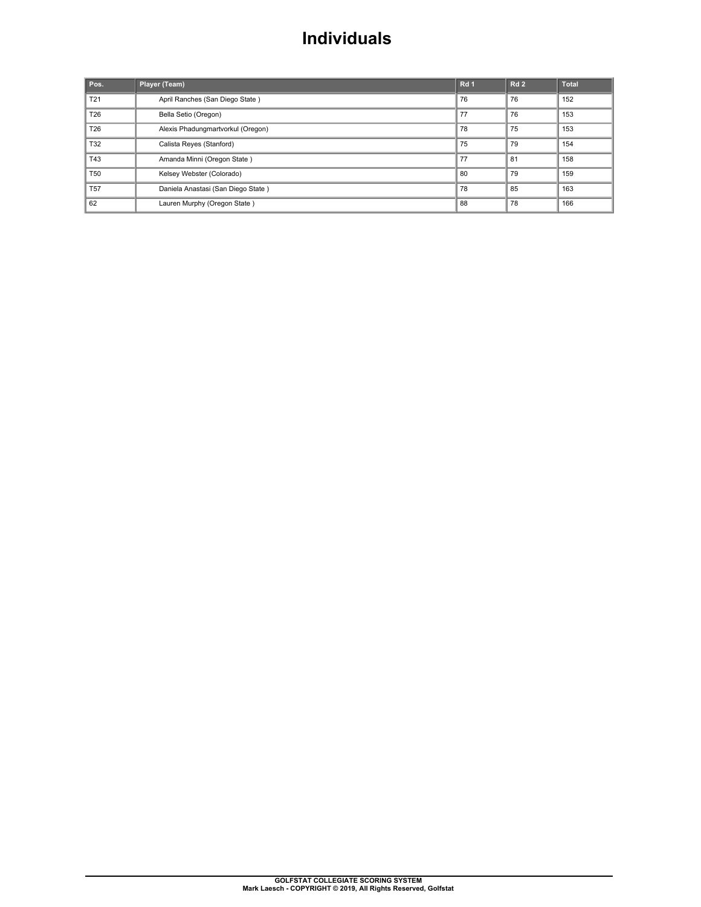### **Individuals**

| Pos.            | Player (Team)                      | Rd <sub>1</sub> | Rd <sub>2</sub> | <b>Total</b> |
|-----------------|------------------------------------|-----------------|-----------------|--------------|
| T <sub>21</sub> | April Ranches (San Diego State)    | 76              | 76              | 152          |
| T26             | Bella Setio (Oregon)               | 77              | 76              | 153          |
| T <sub>26</sub> | Alexis Phadungmartvorkul (Oregon)  | 78              | 75              | 153          |
| T32             | Calista Reyes (Stanford)           | 75              | 79              | 154          |
| T43             | Amanda Minni (Oregon State)        | 77              | 81              | 158          |
| <b>T50</b>      | Kelsey Webster (Colorado)          | 80              | 79              | 159          |
| <b>T57</b>      | Daniela Anastasi (San Diego State) | 78              | 85              | 163          |
| 62              | Lauren Murphy (Oregon State)       | 88              | 78              | 166          |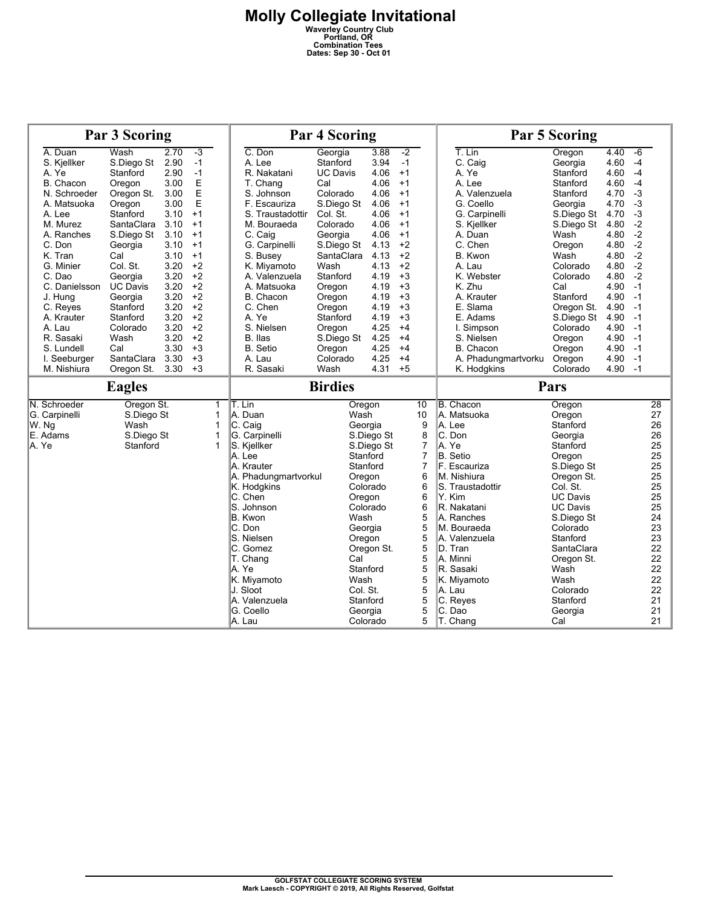| <b>Par 3 Scoring</b> |                 |      |      | <b>Par 4 Scoring</b> |                 |            |                | <b>Par 5 Scoring</b> |                 |      |          |
|----------------------|-----------------|------|------|----------------------|-----------------|------------|----------------|----------------------|-----------------|------|----------|
| A. Duan              | Wash            | 2.70 | $-3$ | C. Don               | Georgia         | 3.88       | $-2$           | $T.$ Lin             | Oregon          | 4.40 | $-6$     |
| S. Kjellker          | S.Diego St      | 2.90 | $-1$ | A. Lee               | Stanford        | 3.94       | $-1$           | C. Caig              | Georgia         | 4.60 | $-4$     |
| A. Ye                | Stanford        | 2.90 | $-1$ | R. Nakatani          | <b>UC Davis</b> | 4.06       | $+1$           | A. Ye                | Stanford        | 4.60 | $-4$     |
| B. Chacon            | Oregon          | 3.00 | Ε    | T. Chang             | Cal             | 4.06       | $+1$           | A. Lee               | Stanford        | 4.60 | $-4$     |
| N. Schroeder         | Oregon St.      | 3.00 | E    | S. Johnson           | Colorado        | 4.06       | $+1$           | A. Valenzuela        | Stanford        | 4.70 | $-3$     |
| A. Matsuoka          | Oregon          | 3.00 | E    | F. Escauriza         | S.Diego St      | 4.06       | $+1$           | G. Coello            | Georgia         | 4.70 | $-3$     |
| A. Lee               | Stanford        | 3.10 | $+1$ | S. Traustadottir     | Col. St.        | 4.06       | $+1$           | G. Carpinelli        | S.Diego St 4.70 |      | $-3$     |
| M. Murez             | SantaClara      | 3.10 | $+1$ | M. Bouraeda          | Colorado        | 4.06       | $+1$           | S. Kjellker          | S.Diego St 4.80 |      | $-2$     |
| A. Ranches           | S.Diego St      | 3.10 | $+1$ | C. Caig              | Georgia         | 4.06       | $+1$           | A. Duan              | Wash            | 4.80 | $-2$     |
| C. Don               | Georgia         | 3.10 | $+1$ | G. Carpinelli        | S.Diego St      | 4.13       | $+2$           | C. Chen              | Oregon          | 4.80 | $-2$     |
| K. Tran              | Cal             | 3.10 | $+1$ | S. Busey             | SantaClara      | 4.13       | $+2$           | B. Kwon              | Wash            | 4.80 | $-2$     |
| G. Minier            | Col. St.        | 3.20 | $+2$ | K. Miyamoto          | Wash            | 4.13       | $+2$           | A. Lau               | Colorado        | 4.80 | $-2$     |
| C. Dao               | Georgia         | 3.20 | $+2$ | A. Valenzuela        | Stanford        | 4.19       | $+3$           | K. Webster           | Colorado        | 4.80 | $-2$     |
| C. Danielsson        | <b>UC Davis</b> | 3.20 | $+2$ | A. Matsuoka          | Oregon          | 4.19       | $+3$           | K. Zhu               | Cal             | 4.90 | $-1$     |
| J. Hung              | Georgia         | 3.20 | $+2$ | B. Chacon            | Oregon          | 4.19       | $+3$           | A. Krauter           | Stanford        | 4.90 | $-1$     |
| C. Reyes             | Stanford        | 3.20 | $+2$ | C. Chen              | Oregon          | 4.19       | $+3$           | E. Slama             | Oregon St.      | 4.90 | $-1$     |
| A. Krauter           | Stanford        | 3.20 | $+2$ | A. Ye                | Stanford        | 4.19       | $+3$           | E. Adams             | S.Diego St      | 4.90 | $-1$     |
| A. Lau               | Colorado        | 3.20 | $+2$ | S. Nielsen           | Oregon          | 4.25       | $+4$           | I. Simpson           | Colorado        | 4.90 | $-1$     |
| R. Sasaki            | Wash            | 3.20 | $+2$ | B. Ilas              | S.Diego St      | 4.25       | $+4$           | S. Nielsen           | Oregon          | 4.90 | $-1$     |
| S. Lundell           | Cal             | 3.30 | $+3$ | <b>B.</b> Setio      | Oregon          | 4.25       | $+4$           | B. Chacon            | Oregon          | 4.90 | $-1$     |
| I. Seeburger         | SantaClara      | 3.30 | $+3$ | A. Lau               | Colorado        | 4.25       | $+4$           | A. Phadungmartvorku  | Oregon          | 4.90 | $-1$     |
| M. Nishiura          | Oregon St.      | 3.30 | $+3$ | R. Sasaki            | Wash            | 4.31       | $+5$           | K. Hodgkins          | Colorado        | 4.90 | $-1$     |
|                      |                 |      |      |                      |                 |            |                |                      |                 |      |          |
|                      | <b>Eagles</b>   |      |      |                      | <b>Birdies</b>  |            |                |                      | Pars            |      |          |
|                      |                 |      |      |                      |                 |            |                |                      |                 |      |          |
| N. Schroeder         | Oregon St.      |      | 1    | T. Lin               | Oregon          |            | 10             | <b>B.</b> Chacon     | Oregon          |      | 28       |
| G. Carpinelli        | S.Diego St      |      | 1    | A. Duan              | Wash            |            | 10             | A. Matsuoka          | Oregon          |      | 27       |
| W. Ng                | Wash            |      | 1    | C. Caig              | Georgia         |            | 9              | A. Lee               | Stanford        |      | 26       |
| E. Adams             | S.Diego St      |      | 1    | G. Carpinelli        |                 | S.Diego St | 8              | C. Don               | Georgia         |      | 26       |
| A. Ye                | Stanford        |      | 1    | S. Kjellker          |                 | S.Diego St | $\overline{7}$ | A. Ye                | Stanford        |      | 25       |
|                      |                 |      |      | A. Lee               |                 | Stanford   | $\overline{7}$ | B. Setio             | Oregon          |      | 25       |
|                      |                 |      |      | A. Krauter           |                 | Stanford   | $\overline{7}$ | F. Escauriza         | S.Diego St      |      | 25       |
|                      |                 |      |      | A. Phadungmartvorkul | Oregon          |            | 6              | M. Nishiura          | Oregon St.      |      | 25       |
|                      |                 |      |      | K. Hodgkins          |                 | Colorado   | 6              | S. Traustadottir     | Col. St.        |      | 25       |
|                      |                 |      |      | C. Chen              | Oregon          |            | 6              | Y. Kim               | <b>UC Davis</b> |      | 25       |
|                      |                 |      |      | S. Johnson           |                 | Colorado   | 6              | R. Nakatani          | <b>UC Davis</b> |      | 25       |
|                      |                 |      |      | B. Kwon              | Wash            |            | 5              | A. Ranches           | S.Diego St      |      | 24       |
|                      |                 |      |      | C. Don               | Georgia         |            | 5              | M. Bouraeda          | Colorado        |      | 23       |
|                      |                 |      |      | S. Nielsen           | Oregon          |            | 5              | A. Valenzuela        | Stanford        |      | 23       |
|                      |                 |      |      | C. Gomez             |                 | Oregon St. | 5              | D. Tran              | SantaClara      |      | 22       |
|                      |                 |      |      | T. Chang             | Cal             |            | 5              | A. Minni             | Oregon St.      |      | 22       |
|                      |                 |      |      | A. Ye                |                 | Stanford   | 5              | R. Sasaki            | Wash            |      | 22       |
|                      |                 |      |      | K. Miyamoto          | Wash            |            | 5              | K. Miyamoto          | Wash            |      | 22       |
|                      |                 |      |      | J. Sloot             | Col. St.        |            | 5              | A. Lau               | Colorado        |      | 22       |
|                      |                 |      |      | A. Valenzuela        |                 | Stanford   | 5              | C. Reyes             | Stanford        |      | 21       |
|                      |                 |      |      | G. Coello<br>A. Lau  | Georgia         | Colorado   | 5<br>5         | C. Dao<br>T. Chang   | Georgia<br>Cal  |      | 21<br>21 |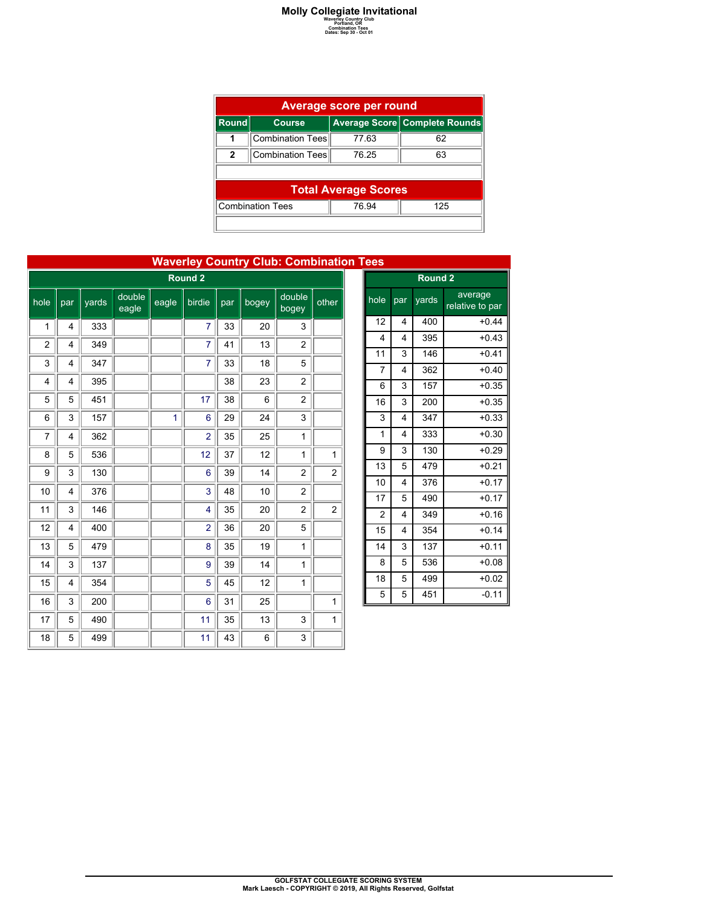### **Molly Collegiate Invitational**<br> **Waverly Country Club**<br> **Combination Tees**<br>
Dates: Sep 30 - Oct 01<br>
Dates: Sep 30 - Oct 01

| <b>Average score per round</b>          |                             |       |                               |  |  |  |  |  |
|-----------------------------------------|-----------------------------|-------|-------------------------------|--|--|--|--|--|
| <b>Round</b>                            | <b>Course</b>               |       | Average Score Complete Rounds |  |  |  |  |  |
|                                         | Combination Tees            | 77.63 | 62                            |  |  |  |  |  |
| $\mathbf{2}$                            | Combination Tees            | 76 25 | 63                            |  |  |  |  |  |
|                                         |                             |       |                               |  |  |  |  |  |
|                                         | <b>Total Average Scores</b> |       |                               |  |  |  |  |  |
| <b>Combination Tees</b><br>76.94<br>125 |                             |       |                               |  |  |  |  |  |
|                                         |                             |       |                               |  |  |  |  |  |

| <b>Wavelley Country Club. Compilation</b><br><b>Round 2</b> |     |       |                 |       |                |     |       |                  |       |
|-------------------------------------------------------------|-----|-------|-----------------|-------|----------------|-----|-------|------------------|-------|
| hole                                                        | par | yards | double<br>eagle | eagle | birdie         | par | bogey | double<br>bogey  | other |
| 1                                                           | 4   | 333   |                 |       | 7              | 33  | 20    | 3                |       |
| 2                                                           | 4   | 349   |                 |       | 7              | 41  | 13    | $\overline{c}$   |       |
| 3                                                           | 4   | 347   |                 |       | 7              | 33  | 18    | 5                |       |
| 4                                                           | 4   | 395   |                 |       |                | 38  | 23    | $\boldsymbol{2}$ |       |
| 5                                                           | 5   | 451   |                 |       | 17             | 38  | 6     | $\overline{c}$   |       |
| 6                                                           | 3   | 157   |                 | 1     | 6              | 29  | 24    | 3                |       |
| 7                                                           | 4   | 362   |                 |       | $\overline{2}$ | 35  | 25    | 1                |       |
| 8                                                           | 5   | 536   |                 |       | 12             | 37  | 12    | 1                | 1     |
| 9                                                           | 3   | 130   |                 |       | 6              | 39  | 14    | $\overline{c}$   | 2     |
| 10                                                          | 4   | 376   |                 |       | 3              | 48  | 10    | $\overline{c}$   |       |
| 11                                                          | 3   | 146   |                 |       | 4              | 35  | 20    | $\overline{c}$   | 2     |
| 12                                                          | 4   | 400   |                 |       | $\overline{2}$ | 36  | 20    | 5                |       |
| 13                                                          | 5   | 479   |                 |       | 8              | 35  | 19    | 1                |       |
| 14                                                          | 3   | 137   |                 |       | 9              | 39  | 14    | 1                |       |
| 15                                                          | 4   | 354   |                 |       | 5              | 45  | 12    | 1                |       |
| 16                                                          | 3   | 200   |                 |       | 6              | 31  | 25    |                  | 1     |
| 17                                                          | 5   | 490   |                 |       | 11             | 35  | 13    | 3                | 1     |
| 18                                                          | 5   | 499   |                 |       | 11             | 43  | 6     | 3                |       |

| <b>Waverley Country Club: Combination Tees</b> |
|------------------------------------------------|
|------------------------------------------------|

| $rac{1}{\sqrt{1-\frac{1}{2}}}$ |                         |       |                            |  |  |  |  |  |  |
|--------------------------------|-------------------------|-------|----------------------------|--|--|--|--|--|--|
|                                | Round <sub>2</sub>      |       |                            |  |  |  |  |  |  |
| hole                           | par                     | yards | average<br>relative to par |  |  |  |  |  |  |
| 12                             | 4                       | 400   | $+0.44$                    |  |  |  |  |  |  |
| 4                              | $\overline{\mathbf{4}}$ | 395   | $+0.43$                    |  |  |  |  |  |  |
| 11                             | 3                       | 146   | $+0.41$                    |  |  |  |  |  |  |
| $\overline{7}$                 | $\overline{4}$          | 362   | $+0.40$                    |  |  |  |  |  |  |
| 6                              | 3                       | 157   | $+0.35$                    |  |  |  |  |  |  |
| 16                             | 3                       | 200   | $+0.35$                    |  |  |  |  |  |  |
| 3                              | 4                       | 347   | $+0.33$                    |  |  |  |  |  |  |
| $\overline{1}$                 | 4                       | 333   | $+0.30$                    |  |  |  |  |  |  |
| 9                              | 3                       | 130   | $+0.29$                    |  |  |  |  |  |  |
| 13                             | 5                       | 479   | $+0.21$                    |  |  |  |  |  |  |
| 10                             | 4                       | 376   | $+0.17$                    |  |  |  |  |  |  |
| 17                             | 5                       | 490   | $+0.17$                    |  |  |  |  |  |  |
| $\overline{c}$                 | 4                       | 349   | $+0.16$                    |  |  |  |  |  |  |
| 15                             | $\overline{4}$          | 354   | $+0.14$                    |  |  |  |  |  |  |
| 14                             | 3                       | 137   | $+0.11$                    |  |  |  |  |  |  |
| 8                              | 5                       | 536   | $+0.08$                    |  |  |  |  |  |  |
| 18                             | 5                       | 499   | $+0.02$                    |  |  |  |  |  |  |
| 5                              | 5                       | 451   | $-0.11$                    |  |  |  |  |  |  |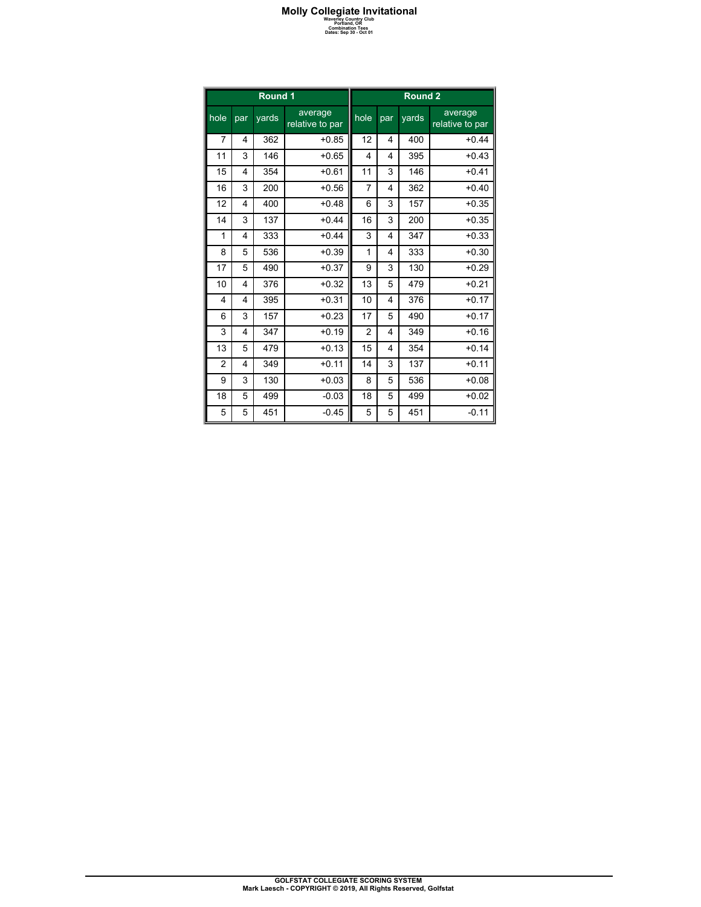### **Molly Collegiate Invitational**<br> **Waverly Country Club**<br> **Combination Tees**<br>
Dates: Sep 30 - Oct 01<br>
Dates: Sep 30 - Oct 01

|                |                         | Round 1 |                            | Round <sub>2</sub> |     |       |                            |
|----------------|-------------------------|---------|----------------------------|--------------------|-----|-------|----------------------------|
| hole           | par                     | yards   | average<br>relative to par | hole               | par | yards | average<br>relative to par |
| 7              | 4                       | 362     | $+0.85$                    | 12                 | 4   | 400   | $+0.44$                    |
| 11             | 3                       | 146     | $+0.65$                    | $\overline{4}$     | 4   | 395   | $+0.43$                    |
| 15             | 4                       | 354     | $+0.61$                    | 11                 | 3   | 146   | $+0.41$                    |
| 16             | 3                       | 200     | $+0.56$                    | $\overline{7}$     | 4   | 362   | $+0.40$                    |
| 12             | 4                       | 400     | $+0.48$                    | 6                  | 3   | 157   | $+0.35$                    |
| 14             | 3                       | 137     | $+0.44$                    | 16                 | 3   | 200   | $+0.35$                    |
| 1              | 4                       | 333     | $+0.44$                    | 3                  | 4   | 347   | $+0.33$                    |
| 8              | 5                       | 536     | $+0.39$                    | 1                  | 4   | 333   | $+0.30$                    |
| 17             | 5                       | 490     | $+0.37$                    | 9                  | 3   | 130   | $+0.29$                    |
| 10             | 4                       | 376     | $+0.32$                    | 13                 | 5   | 479   | $+0.21$                    |
| $\overline{4}$ | $\overline{\mathbf{4}}$ | 395     | $+0.31$                    | 10                 | 4   | 376   | $+0.17$                    |
| 6              | 3                       | 157     | $+0.23$                    | 17                 | 5   | 490   | $+0.17$                    |
| 3              | $\overline{\mathbf{4}}$ | 347     | $+0.19$                    | $\overline{2}$     | 4   | 349   | $+0.16$                    |
| 13             | 5                       | 479     | $+0.13$                    | 15                 | 4   | 354   | $+0.14$                    |
| $\overline{2}$ | 4                       | 349     | $+0.11$                    | 14                 | 3   | 137   | $+0.11$                    |
| 9              | 3                       | 130     | $+0.03$                    | 8                  | 5   | 536   | $+0.08$                    |
| 18             | 5                       | 499     | $-0.03$                    | 18                 | 5   | 499   | $+0.02$                    |
| 5              | 5                       | 451     | $-0.45$                    | 5                  | 5   | 451   | $-0.11$                    |